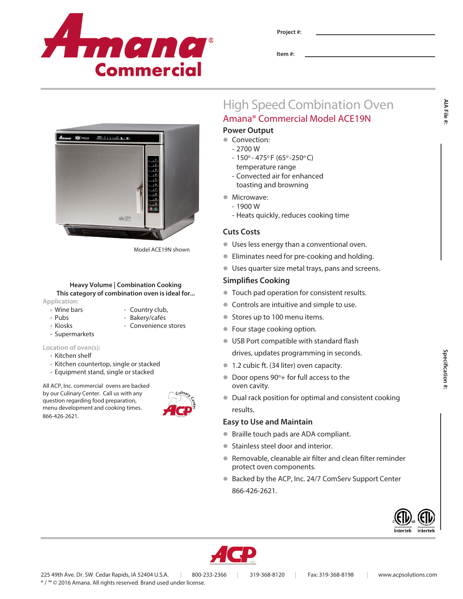

**Item #:**

# High Speed Combination Oven Amana® Commercial Model ACE19N

# **Power Output**

- Convection:
	- 2700 W
	- $-150^{\circ} 475^{\circ}$ F (65° -250°C) temperature range
	- Convected air for enhanced toasting and browning
- Microwave:
	- 1900 W
	- Heats quickly, reduces cooking time

# **Cuts Costs**

- **ID Uses less energy than a conventional oven.**
- **•** Eliminates need for pre-cooking and holding.
- l Uses quarter size metal trays, pans and screens.

# **Simplifies Cooking**

- $\bullet$  Touch pad operation for consistent results.
- Controls are intuitive and simple to use.
- Stores up to 100 menu items.
- **Four stage cooking option.**
- **IDED** USB Port compatible with standard flash drives, updates programming in seconds.
- **1.2 cubic ft. (34 liter) oven capacity.**
- Door opens 90°+ for full access to the oven cavity.
- Dual rack position for optimal and consistent cooking results.

# **Easy to Use and Maintain**

- Braille touch pads are ADA compliant.
- **Stainless steel door and interior.**
- Removable, cleanable air filter and clean filter reminder protect oven components.
- Backed by the ACP, Inc. 24/7 ComServ Support Center 866-426-2621.





**AIA File #:**

AIA File :

 $-3610111$  and  $-810$  $\overrightarrow{ab}$ 

Model ACE19N shown

### **Heavy Volume | Combination Cooking This category of combination oven is ideal for... Application:**

- Wine bars  **Country club**,
- Pubs Bakery/cafés
- Kiosks Convenience stores
- Supermarkets

# **Location of oven(s):**

- Kitchen shelf
- Kitchen countertop, single or stacked
- Equipment stand, single or stacked

All ACP, Inc. commercial ovens are backed by our Culinary Center. Call us with any question regarding food preparation, menu development and cooking times. 866-426-2621.